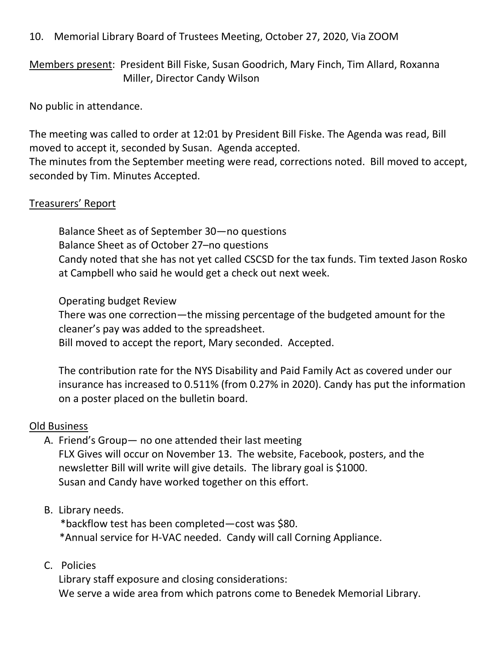## 10. Memorial Library Board of Trustees Meeting, October 27, 2020, Via ZOOM

Members present: President Bill Fiske, Susan Goodrich, Mary Finch, Tim Allard, Roxanna Miller, Director Candy Wilson

No public in attendance.

The meeting was called to order at 12:01 by President Bill Fiske. The Agenda was read, Bill moved to accept it, seconded by Susan. Agenda accepted.

The minutes from the September meeting were read, corrections noted. Bill moved to accept, seconded by Tim. Minutes Accepted.

## Treasurers' Report

Balance Sheet as of September 30—no questions Balance Sheet as of October 27–no questions Candy noted that she has not yet called CSCSD for the tax funds. Tim texted Jason Rosko at Campbell who said he would get a check out next week.

Operating budget Review

There was one correction—the missing percentage of the budgeted amount for the cleaner's pay was added to the spreadsheet.

Bill moved to accept the report, Mary seconded. Accepted.

The contribution rate for the NYS Disability and Paid Family Act as covered under our insurance has increased to 0.511% (from 0.27% in 2020). Candy has put the information on a poster placed on the bulletin board.

## Old Business

- A. Friend's Group— no one attended their last meeting FLX Gives will occur on November 13. The website, Facebook, posters, and the newsletter Bill will write will give details. The library goal is \$1000. Susan and Candy have worked together on this effort.
- B. Library needs.

 \*backflow test has been completed—cost was \$80. \*Annual service for H-VAC needed. Candy will call Corning Appliance.

C. Policies

Library staff exposure and closing considerations: We serve a wide area from which patrons come to Benedek Memorial Library.